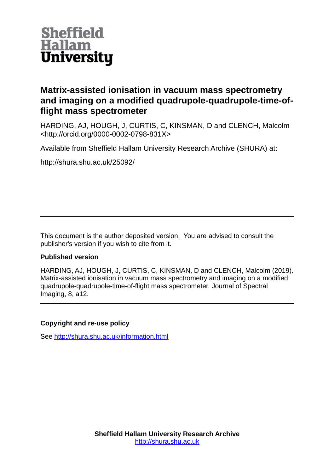

## **Matrix-assisted ionisation in vacuum mass spectrometry and imaging on a modified quadrupole-quadrupole-time-offlight mass spectrometer**

HARDING, AJ, HOUGH, J, CURTIS, C, KINSMAN, D and CLENCH, Malcolm <http://orcid.org/0000-0002-0798-831X>

Available from Sheffield Hallam University Research Archive (SHURA) at:

http://shura.shu.ac.uk/25092/

This document is the author deposited version. You are advised to consult the publisher's version if you wish to cite from it.

## **Published version**

HARDING, AJ, HOUGH, J, CURTIS, C, KINSMAN, D and CLENCH, Malcolm (2019). Matrix-assisted ionisation in vacuum mass spectrometry and imaging on a modified quadrupole-quadrupole-time-of-flight mass spectrometer. Journal of Spectral Imaging, 8, a12.

## **Copyright and re-use policy**

See<http://shura.shu.ac.uk/information.html>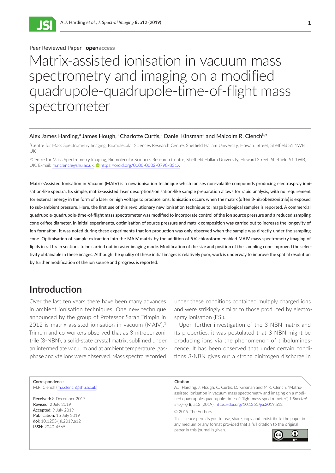

### Peer Reviewed Paper openaccess **I**<br>I

ISSN 2040-4565

# tyrall ix-as Matrix-assisted ionisation in vacuum mass spectrometry and imaging on a modified quadrupole-quadrupole-time-of-flight mass spectrometer

#### Alex James Harding,<sup>a</sup> James Hough,<sup>a</sup> Charlotte Curtis,<sup>a</sup> Daniel Kinsman<sup>a</sup> and Malcolm R. Clench<sup>b,\*</sup>

aCentre for Mass Spectrometry Imaging, Biomolecular Sciences Research Centre, Sheffield Hallam University, Howard Street, Sheffield S1 1WB, UK

b Centre for Mass Spectrometry Imaging, Biomolecular Sciences Research Centre, Sheffield Hallam University, Howard Street, Sheffield S1 1WB, UK. E-mail: [m.r.clench@shu.ac.uk,](mailto:m.r.clench%40shu.ac.uk?subject=) <https://orcid.org/0000-0002-0798-831X>

Matrix-Assisted Ionisation in Vacuum (MAIV) is a new ionisation technique which ionises non-volatile compounds producing electrospray ionisation-like spectra. Its simple, matrix-assisted laser desorption/ionisation-like sample preparation allows for rapid analysis, with no requirement for external energy in the form of a laser or high voltage to produce ions. Ionisation occurs when the matrix (often 3-nitrobenzonitrile) is exposed to sub-ambient pressure. Here, the first use of this revolutionary new ionisation technique to image biological samples is reported. A commercial quadrupole-quadrupole-time-of-flight mass spectrometer was modified to incorporate control of the ion source pressure and a reduced sampling cone orifice diameter. In initial experiments, optimisation of source pressure and matrix composition was carried out to increase the longevity of ion formation. It was noted during these experiments that ion production was only observed when the sample was directly under the sampling cone. Optimisation of sample extraction into the MAIV matrix by the addition of 5 % chloroform enabled MAIV mass spectrometry imaging of lipids in rat brain sections to be carried out in raster imaging mode. Modification of the size and position of the sampling cone improved the selectivity obtainable in these images. Although the quality of these initial images is relatively poor, work is underway to improve the spatial resolution by further modification of the ion source and progress is reported.

## **Introduction**

Over the last ten years there have been many advances in ambient ionisation techniques. One new technique announced by the group of Professor Sarah Trimpin in 2012 is matrix-assisted ionisation in vacuum  $(MA)V)^1$ Trimpin and co-workers observed that as 3-nitrobenzonitrile (3-NBN), a solid-state crystal matrix, sublimed under an intermediate vacuum and at ambient temperature, gasphase analyte ions were observed. Mass spectra recorded

under these conditions contained multiply charged ions and were strikingly similar to those produced by electrospray ionisation (ESI).

Upon further investigation of the 3-NBN matrix and its properties, it was postulated that 3-NBN might be producing ions via the phenomenon of triboluminescence. It has been observed that under certain conditions 3-NBN gives out a strong dinitrogen discharge in

#### **Correspondence**

M.R. Clench [\(m.r.clench@shu.ac.uk\)](mailto:m.r.clench%40shu.ac.uk?subject=)

Received: 8 December 2017 Revised: 2 July 2019 Accepted: 9 July 2019 Publication: 15 July 2019 doi: 10.1255/jsi.2019.a12 ISSN: 2040-4565

#### **Citation**

A.J. Harding, J. Hough, C. Curtis, D. Kinsman and M.R. Clench, "Matrixassisted ionisation in vacuum mass spectrometry and imaging on a modified quadrupole-quadrupole-time-of-flight mass spectrometer", *J. Spectral Imaging* **8,** a12 (2019). [https://doi.org/10.1255/jsi.2019.a](https://doi.org/10.1255/jsi.2019.a12)12 © 2019 The Authors

This licence permits you to use, share, copy and redistribute the paper in any medium or any format provided that a full citation to the original paper in this journal is given.

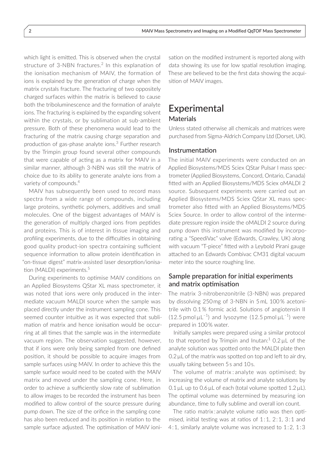which light is emitted. This is observed when the crystal structure of 3-NBN fractures.<sup>2</sup> In this explanation of the ionisation mechanism of MAIV, the formation of ions is explained by the generation of charge when the matrix crystals fracture. The fracturing of two oppositely charged surfaces within the matrix is believed to cause both the triboluminescence and the formation of analyte ions. The fracturing is explained by the expanding solvent within the crystals, or by sublimation at sub-ambient pressure. Both of these phenomena would lead to the fracturing of the matrix causing charge separation and production of gas-phase analyte ions.<sup>3</sup> Further research by the Trimpin group found several other compounds that were capable of acting as a matrix for MAIV in a similar manner, although 3-NBN was still the matrix of choice due to its ability to generate analyte ions from a variety of compounds.<sup>4</sup>

MAIV has subsequently been used to record mass spectra from a wide range of compounds, including large proteins, synthetic polymers, additives and small molecules. One of the biggest advantages of MAIV is the generation of multiply charged ions from peptides and proteins. This is of interest in tissue imaging and profiling experiments, due to the difficulties in obtaining good quality product-ion spectra containing sufficient sequence information to allow protein identification in "on-tissue digest" matrix-assisted laser desorption/ionisation (MALDI) experiments.<sup>5</sup>

During experiments to optimise MAIV conditions on an Applied Biosystems QStar XL mass spectrometer, it was noted that ions were only produced in the intermediate vacuum MALDI source when the sample was placed directly under the instrument sampling cone. This seemed counter intuitive as it was expected that sublimation of matrix and hence ionisation would be occurring at all times that the sample was in the intermediate vacuum region. The observation suggested, however, that if ions were only being sampled from one defined position, it should be possible to acquire images from sample surfaces using MAIV. In order to achieve this the sample surface would need to be coated with the MAIV matrix and moved under the sampling cone. Here, in order to achieve a sufficiently slow rate of sublimation to allow images to be recorded the instrument has been modified to allow control of the source pressure during pump down. The size of the orifice in the sampling cone has also been reduced and its position in relation to the sample surface adjusted. The optimisation of MAIV ionisation on the modified instrument is reported along with data showing its use for low spatial resolution imaging. These are believed to be the first data showing the acquisition of MAIV images.

## Experimental **Materials**

Unless stated otherwise all chemicals and matrices were purchased from Sigma-Aldrich Company Ltd (Dorset, UK).

### Instrumentation

The initial MAIV experiments were conducted on an Applied Biosystems/MDS Sciex QStar Pulsar I mass spectrometer (Applied Biosystems, Concord, Ontario, Canada) fitted with an Applied Biosystems/MDS Sciex oMALDI 2 source. Subsequent experiments were carried out an Applied Biosystems/MDS Sciex QStar XL mass spectrometer also fitted with an Applied Biosystems/MDS Sciex Source. In order to allow control of the intermediate pressure region inside the oMALDI 2 source during pump down this instrument was modified by incorporating a "SpeediVac" valve (Edwards, Crawley, UK) along with vacuum "T-piece" fitted with a Leybold Pirani gauge attached to an Edwards Combivac CM31 digital vacuum meter into the source roughing line.

### Sample preparation for initial experiments and matrix optimisation

The matrix 3-nitrobenzonitrile (3-NBN) was prepared by dissolving 250 mg of 3-NBN in 5 mL 100% acetonitrile with 0.1% formic acid. Solutions of angiotensin II  $(12.5 \text{ pmol }\mu\text{L}^{-1})$  and lysozyme  $(12.5 \text{ pmol }\mu\text{L}^{-1})$  were prepared in 100% water.

Initially samples were prepared using a similar protocol to that reported by Trimpin and Inutan: $1$  0.2  $\mu$ L of the analyte solution was spotted onto the MALDI plate then  $0.2 \mu L$  of the matrix was spotted on top and left to air dry, usually taking between 5 s and 10 s.

The volume of matrix : analyte was optimised; by increasing the volume of matrix and analyte solutions by 0.1 µL up to 0.6 µL of each (total volume spotted 1.2 µL). The optimal volume was determined by measuring ion abundance, time to fully sublime and overall ion count.

The ratio matrix : analyte volume ratio was then optimised, initial testing was at ratios of  $1:1$ ,  $2:1$ ,  $3:1$  and 4 : 1, similarly analyte volume was increased to 1 : 2, 1 : 3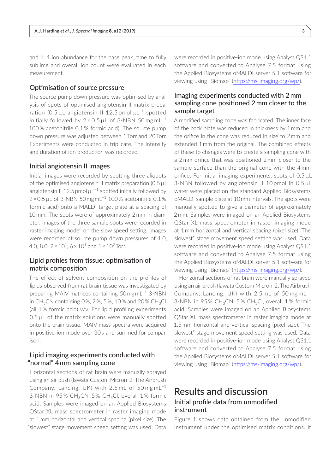and 1 : 4 ion abundance for the base peak, time to fully sublime and overall ion count were evaluated in each measurement.

### Optimisation of source pressure

The source pump down pressure was optimised by analysis of spots of optimised angiotensin II matrix preparation (0.5  $\mu$ L angiotensin II 12.5 pmol $\mu$ L<sup>-1</sup> spotted initially followed by  $2 \times 0.5 \mu L$  of 3-NBN 50 mg mL<sup>-1</sup> 100% acetonitrile 0.1% formic acid). The source pump down pressure was adjusted between 1 Torr and 20Torr. Experiments were conducted in triplicate. The intensity and duration of ion production was recorded.

#### Initial angiotensin II images

Initial images were recorded by spotting three aliquots of the optimised angiotensin II matrix preparation (0.5 µL angiotensin II 12.5 pmol  $\mu L^{-1}$  spotted initially followed by  $2 \times 0.5$  µL of 3-NBN 50 $mgmL^{-1}$  100% acetonitrile 0.1% formic acid) onto a MALDI target plate at a spacing of 10mm. The spots were of approximately 2mm in diameter. Images of the three sample spots were recorded in raster imaging mode<sup>6</sup> on the slow speed setting. Images were recorded at source pump down pressures of 1.0, 4.0, 8.0,  $2 \times 10^1$ ,  $6 \times 10^1$  and  $1 \times 10^2$  Torr.

### Lipid profiles from tissue: optimisation of matrix composition

The effect of solvent composition on the profiles of lipids observed from rat brain tissue was investigated by preparing MAIV matrices containing 50 mg mL–1 3-NBN in CH<sub>3</sub>CN containing 0 $%$ , 2 $%$ , 5 $%$ , 10 $%$  and 20 $%$  CH<sub>3</sub>Cl (all 1 % formic acid) v/v. For lipid profiling experiments  $0.5 \mu L$  of the matrix solutions were manually spotted onto the brain tissue. MAIV mass spectra were acquired in positive-ion mode over 30 s and summed for comparison.

### Lipid imaging experiments conducted with "normal" 4 mm sampling cone

Horizontal sections of rat brain were manually sprayed using an air bush (Iawata Custom Micron-2, The Airbrush Company, Lancing, UK) with 2.5 mL of 50 mg mL–1 3-NBN in 95% CH<sub>3</sub>CN:5% CH<sub>3</sub>Cl, overall 1% formic acid. Samples were imaged on an Applied Biosystems QStar XL mass spectrometer in raster imaging mode at 1 mm horizontal and vertical spacing (pixel size). The "slowest" stage movement speed setting was used. Data

were recorded in positive-ion mode using Analyst QS1.1 software and converted to Analyse 7.5 format using the Applied Biosystems oMALDI server 5.1 software for viewing using "Biomap" (<https://ms-imaging.org/wp/>).

## Imaging experiments conducted with 2 mm sampling cone positioned 2 mm closer to the sample target

A modified sampling cone was fabricated. The inner face of the back plate was reduced in thickness by 1 mm and the orifice in the cone was reduced in size to 2 mm and extended 1 mm from the original. The combined effects of these to changes were to create a sampling cone with a 2 mm orifice that was positioned 2 mm closer to the sample surface than the original cone with the 4 mm orifice. For initial imaging experiments, spots of 0.5 µL 3-NBN followed by angiotensin II 10 pmol in 0.5 µL water were placed on the standard Applied Biosystems oMALDI sample plate at 10 mm intervals. The spots were manually spotted to give a diameter of approximately 2 mm. Samples were imaged on an Applied Biosystems QStar XL mass spectrometer in raster imaging mode at 1 mm horizontal and vertical spacing (pixel size). The "slowest" stage movement speed setting was used. Data were recorded in positive-ion mode using Analyst QS1.1 software and converted to Analyse 7.5 format using the Applied Biosystems oMALDI server 5.1 software for viewing using "Biomap" (<https://ms-imaging.org/wp/>).

Horizontal sections of rat brain were manually sprayed using an air brush (Iawata Custom Micron-2, The Airbrush Company, Lancing, UK) with  $2.5$  mL of  $50$  mg mL<sup>-1</sup> 3-NBN in 95% CH<sub>3</sub>CN:5% CH<sub>3</sub>Cl, overall 1% formic acid. Samples were imaged on an Applied Biosystems QStar XL mass spectrometer in raster imaging mode at 1.5 mm horizontal and vertical spacing (pixel size). The "slowest" stage movement speed setting was used. Data were recorded in positive-ion mode using Analyst QS1.1 software and converted to Analyse 7.5 format using the Applied Biosystems oMALDI server 5.1 software for viewing using "Biomap" (<https://ms-imaging.org/wp/>).

## Results and discussion Initial profile data from unmodified instrument

Figure 1 shows data obtained from the unmodified instrument under the optimised matrix conditions. It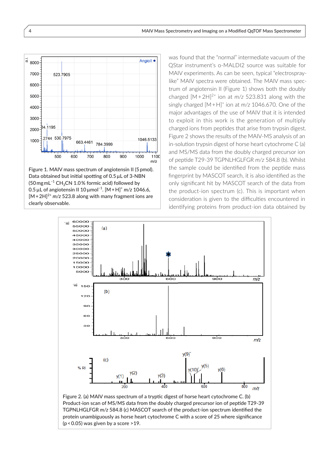

Figure 1. MAIV mass spectrum of angiotensin II (5 pmol). Data obtained but initial spotting of 0.5 µL of 3-NBN  $(50$  mg mL<sup>-1</sup> CH<sub>3</sub>CN 1.0% formic acid) followed by 0.5 µL of angiotensin II 10 µmol–1. [M + H]<sup>+</sup> *m/z* 1046.6,  $[M+2H]^{2+}$  *m/z* 523.8 along with many fragment ions are clearly observable.

was found that the "normal" intermediate vacuum of the QStar instrument's o-MALDI2 source was suitable for MAIV experiments. As can be seen, typical "electrospraylike" MAIV spectra were obtained. The MAIV mass spectrum of angiotensin II (Figure 1) shows both the doubly charged  $[M+2H]^{2+}$  ion at  $m/z$  523.831 along with the singly charged [M + H]<sup>+</sup> ion at *m/z* 1046.670. One of the major advantages of the use of MAIV that it is intended to exploit in this work is the generation of multiply charged ions from peptides that arise from trypsin digest. Figure 2 shows the results of the MAIV-MS analysis of an in-solution trypsin digest of horse heart cytochrome C (a) and MS/MS data from the doubly charged precursor ion of peptide T29-39 TGPNLHGLFGR *m/z* 584.8 (b). Whilst the sample could be identified from the peptide mass fingerprint by MASCOT search, it is also identified as the only significant hit by MASCOT search of the data from the product-ion spectrum (c). This is important when consideration is given to the difficulties encountered in identifying proteins from product-ion data obtained by



Figure 2. (a) MAIV mass spectrum of a tryptic digest of horse heart cytochrome C. (b) Product-ion scan of MS/MS data from the doubly charged precursor ion of peptide T29-39 TGPNLHGLFGR *m/z* 584.8 (c) MASCOT search of the product-ion spectrum identified the protein unambiguously as horse heart cytochrome C with a score of 25 where significance (p < 0.05) was given by a score >19.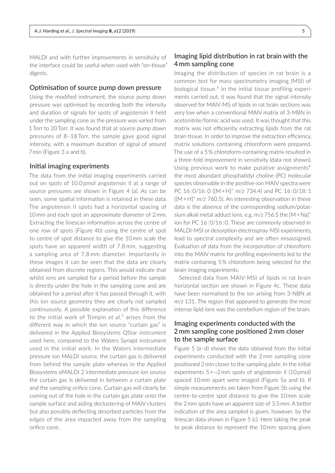MALDI and with further improvements in sensitivity of the interface could be useful when used with "on-tissue" digests.

#### Optimisation of source pump down pressure

Using the modified instrument, the source pump down pressure was optimised by recording both the intensity and duration of signals for spots of angiotensin II held under the sampling cone as the pressure was varied from 1 Torr to 20 Torr. It was found that at source pump down pressures of 8–18 Torr, the sample gave good signal intensity, with a maximum duration of signal of around 7 min (Figure 3 a and b).

#### Initial imaging experiments

The data from the initial imaging experiments carried out on spots of 10.0 pmol angiotensin II at a range of source pressures are shown in Figure 4 (a). As can be seen, some spatial information is retained in these data. The angiotensin II spots had a horizontal spacing of 10 mm and each spot an approximate diameter of 2 mm. Extracting the linescan information across the centre of one row of spots (Figure 4b) using the centre of spot to centre of spot distance to give the 10 mm scale the spots have an apparent width of 7.8 mm, suggesting a sampling area of 7.8 mm diameter. Importantly in these images it can be seen that the data are clearly obtained from discrete regions. This would indicate that whilst ions are sampled for a period before the sample is directly under the hole in the sampling cone and are obtained for a period after it has passed through it, with this ion source geometry they are clearly not sampled continuously. A possible explanation of this difference to the initial work of Trimpin *et al.*<sup>1</sup> arises from the different way in which the ion source "curtain gas" is delivered in the Applied Biosystems QStar instrument used here, compared to the Waters Synapt instrument used in the initial work. In the Waters intermediate pressure ion MALDI source, the curtain gas is delivered from behind the sample plate whereas in the Applied Biosystems oMALDI 2 intermediate pressure ion source the curtain gas is delivered in between a curtain plate and the sampling orifice cone. Curtain gas will clearly be coming out of the hole in the curtain gas plate onto the sample surface and aiding declustering of MAIV clusters but also possibly deflecting desorbed particles from the edges of the area impacted away from the sampling orifice cone.

### Imaging lipid distribution in rat brain with the 4 mm sampling cone

Imaging the distribution of species in rat brain is a common test for mass spectrometry imaging (MSI) of biological tissue.<sup>6</sup> In the initial tissue profiling experiments carried out, it was found that the signal intensity observed for MAIV-MS of lipids in rat brain sections was very low when a conventional MAIV matrix of 3-MBN in acetonitrile/formic acid was used. It was thought that this matrix was not efficiently extracting lipids from the rat brain tissue. In order to improve the extraction efficiency, matrix solutions containing chloroform were prepared. The use of a 5 % chloroform-containing matrix resulted in a three-fold improvement in sensitivity (data not shown). Using previous work to make putative assignments<sup>6</sup> the most abundant phosphatidyl choline (PC) molecular species observable in the positive-ion MAIV spectra were PC 16 : 0/16 : 0 ([M + H]+ *m/z* 734.4) and PC 16 : 0/18 : 1 ([M + H]+ *m/z* 760.5). An interesting observation in these data is the absence of the corresponding sodium/potassium alkali metal adduct ions, e.g. *m/z* 756.5 the [M + Na]<sup>+</sup> ion for PC 16:0/16:0. These are commonly observed in MALDI-MSI or desorption electrospray-MSI experiments, lead to spectral complexity and are often misassigned. Evaluation of data from the incorporation of chloroform into the MAIV matrix for profiling experiments led to the matrix containing 5 % chloroform being selected for the brain imaging experiments.

Selected data from MAIV-MSI of lipids in rat brain horizontal section are shown in Figure 4c. These data have been normalised to the ion arising from 3-NBN at *m/z* 131. The region that appeared to generate the most intense lipid ions was the cerebellum region of the brain.

## Imaging experiments conducted with the 2 mm sampling cone positioned 2 mm closer to the sample surface

Figure 5 (a–d) shows the data obtained from the initial experiments conducted with the 2 mm sampling cone positioned 2 mm closer to the sampling plate. In the initial experiments  $5 \times \sim 2$  mm spots of angiotensin II (10 pmol) spaced 10 mm apart were imaged (Figure 5a and b). If simple measurements are taken from Figure 5b using the centre-to-centre spot distance to give the 10 mm scale the 2 mm spots have an apparent size of 3.5 mm. A better indication of the area sampled is given, however, by the linescan data shown in Figure 5 (c). Here taking the peak to peak distance to represent the 10 mm spacing gives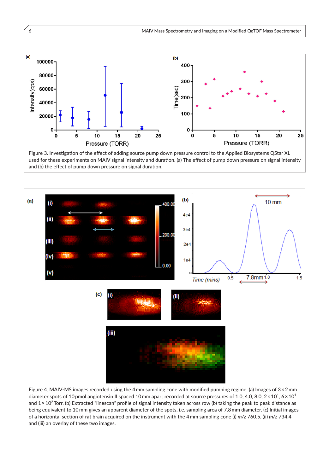

Figure 3. Investigation of the effect of adding source pump down pressure control to the Applied Biosystems QStar XL used for these experiments on MAIV signal intensity and duration. (a) The effect of pump down pressure on signal intensity and (b) the effect of pump down pressure on signal duration.



Figure 4. MAIV-MS images recorded using the 4 mm sampling cone with modified pumping regime. (a) Images of 3 × 2 mm diameter spots of 10 pmol angiotensin II spaced 10 mm apart recorded at source pressures of 1.0, 4.0, 8.0, 2 $\times$ 10<sup>1</sup>, 6 $\times$ 10<sup>1</sup> and 1 × 10<sup>2</sup>  Torr. (b) Extracted "linescan" profile of signal intensity taken across row (b) taking the peak to peak distance as being equivalent to 10 mm gives an apparent diameter of the spots, i.e. sampling area of 7.8 mm diameter. (c) Initial images of a horizontal section of rat brain acquired on the instrument with the 4 mm sampling cone (i) *m/z* 760.5, (ii) *m/z* 734.4 and (iii) an overlay of these two images.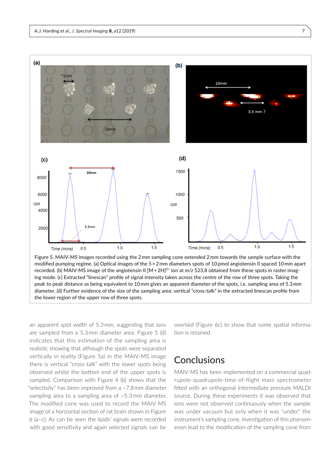

the lower region of the upper row of three spots.

an apparent spot width of 5.3 mm, suggesting that ions are sampled from a 5.3 mm diameter area. Figure 5 (d) indicates that this estimation of the sampling area is realistic showing that although the spots were separated vertically in reality (Figure 5a) in the MAIV-MS image there is vertical "cross-talk" with the lower spots being observed whilst the bottom end of the upper spots is sampled. Comparison with Figure 4 (b) shows that the "selectivity" has been improved from a ~7.8 mm diameter sampling area to a sampling area of ~5.3 mm diameter. The modified cone was used to record the MAIV-MS image of a horizontal section of rat brain shown in Figure 6 (a–c). As can be seen the lipids' signals were recorded with good sensitivity and again selected signals can be

overlaid (Figure 6c) to show that some spatial information is retained.

## **Conclusions**

MAIV-MS has been implemented on a commercial quadrupole-quadrupole-time-of-flight mass spectrometer fitted with an orthogonal intermediate pressure MALDI source. During these experiments it was observed that ions were not observed continuously when the sample was under vacuum but only when it was "under" the instrument's sampling cone. Investigation of this phenomenon lead to the modification of the sampling cone from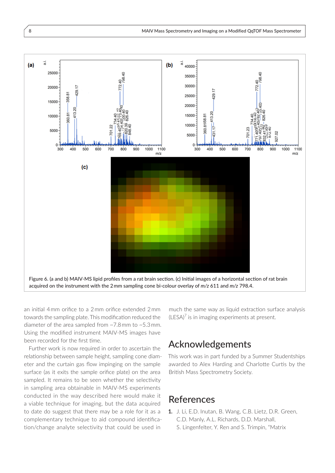

an initial 4 mm orifice to a 2 mm orifice extended 2 mm towards the sampling plate. This modification reduced the diameter of the area sampled from  $\approx$  7.8 mm to  $\approx$  5.3 mm. Using the modified instrument MAIV-MS images have been recorded for the first time.

Further work is now required in order to ascertain the relationship between sample height, sampling cone diameter and the curtain gas flow impinging on the sample surface (as it exits the sample orifice plate) on the area sampled. It remains to be seen whether the selectivity in sampling area obtainable in MAIV-MS experiments conducted in the way described here would make it a viable technique for imaging, but the data acquired to date do suggest that there may be a role for it as a complementary technique to aid compound identification/change analyte selectivity that could be used in

much the same way as liquid extraction surface analysis  $(LESA)<sup>7</sup>$  is in imaging experiments at present.

## Acknowledgements

This work was in part funded by a Summer Studentships awarded to Alex Harding and Charlotte Curtis by the British Mass Spectrometry Society.

## References

**1.** J. Li, E.D. Inutan, B. Wang, C.B. Lietz, D.R. Green, C.D. Manly, A.L. Richards, D.D. Marshall, S. Lingenfelter, Y. Ren and S. Trimpin, "Matrix